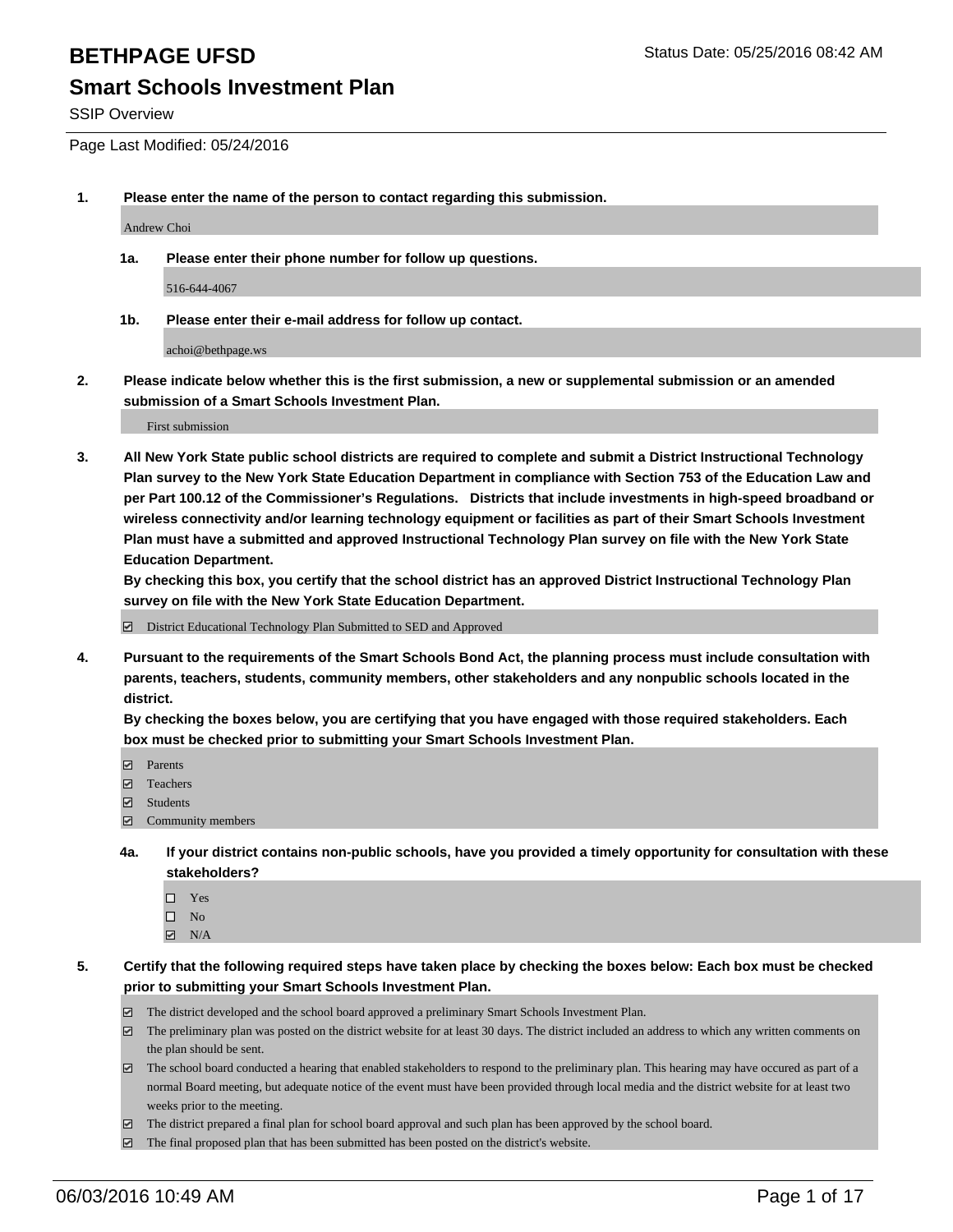SSIP Overview

Page Last Modified: 05/24/2016

**1. Please enter the name of the person to contact regarding this submission.**

Andrew Choi

**1a. Please enter their phone number for follow up questions.**

516-644-4067

**1b. Please enter their e-mail address for follow up contact.**

achoi@bethpage.ws

**2. Please indicate below whether this is the first submission, a new or supplemental submission or an amended submission of a Smart Schools Investment Plan.**

First submission

**3. All New York State public school districts are required to complete and submit a District Instructional Technology Plan survey to the New York State Education Department in compliance with Section 753 of the Education Law and per Part 100.12 of the Commissioner's Regulations. Districts that include investments in high-speed broadband or wireless connectivity and/or learning technology equipment or facilities as part of their Smart Schools Investment Plan must have a submitted and approved Instructional Technology Plan survey on file with the New York State Education Department.** 

**By checking this box, you certify that the school district has an approved District Instructional Technology Plan survey on file with the New York State Education Department.**

District Educational Technology Plan Submitted to SED and Approved

**4. Pursuant to the requirements of the Smart Schools Bond Act, the planning process must include consultation with parents, teachers, students, community members, other stakeholders and any nonpublic schools located in the district.** 

**By checking the boxes below, you are certifying that you have engaged with those required stakeholders. Each box must be checked prior to submitting your Smart Schools Investment Plan.**

- **Parents**
- Teachers
- $\blacksquare$  Students
- Community members
- **4a. If your district contains non-public schools, have you provided a timely opportunity for consultation with these stakeholders?**
	- $\Box$  Yes  $\square$  No
	- $\boxtimes$  N/A
- **5. Certify that the following required steps have taken place by checking the boxes below: Each box must be checked prior to submitting your Smart Schools Investment Plan.**
	- The district developed and the school board approved a preliminary Smart Schools Investment Plan.
	- $\Box$  The preliminary plan was posted on the district website for at least 30 days. The district included an address to which any written comments on the plan should be sent.
	- $\Box$  The school board conducted a hearing that enabled stakeholders to respond to the preliminary plan. This hearing may have occured as part of a normal Board meeting, but adequate notice of the event must have been provided through local media and the district website for at least two weeks prior to the meeting.
	- The district prepared a final plan for school board approval and such plan has been approved by the school board.
	- $\boxdot$  The final proposed plan that has been submitted has been posted on the district's website.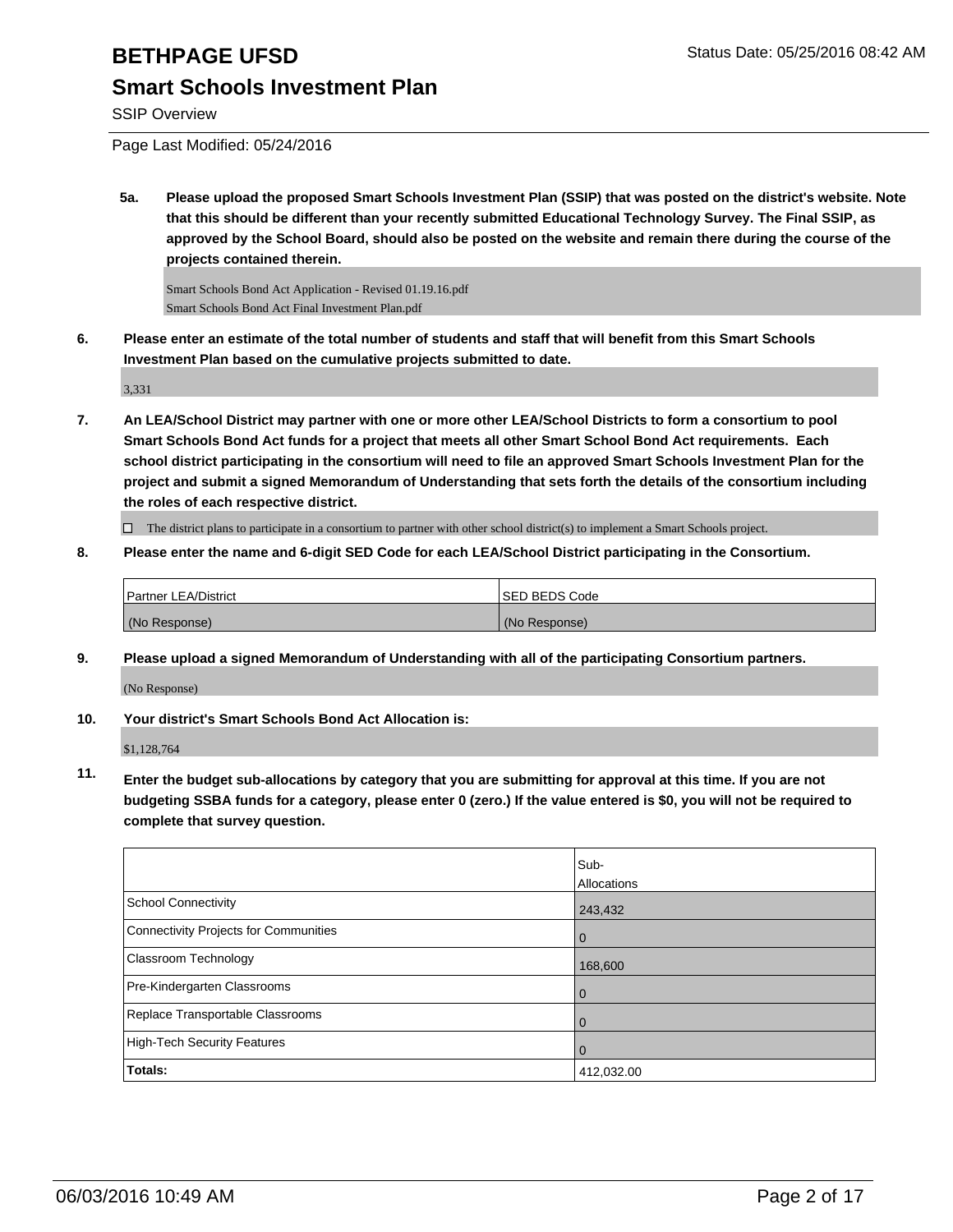SSIP Overview

Page Last Modified: 05/24/2016

**5a. Please upload the proposed Smart Schools Investment Plan (SSIP) that was posted on the district's website. Note that this should be different than your recently submitted Educational Technology Survey. The Final SSIP, as approved by the School Board, should also be posted on the website and remain there during the course of the projects contained therein.**

Smart Schools Bond Act Application - Revised 01.19.16.pdf Smart Schools Bond Act Final Investment Plan.pdf

**6. Please enter an estimate of the total number of students and staff that will benefit from this Smart Schools Investment Plan based on the cumulative projects submitted to date.**

3,331

**7. An LEA/School District may partner with one or more other LEA/School Districts to form a consortium to pool Smart Schools Bond Act funds for a project that meets all other Smart School Bond Act requirements. Each school district participating in the consortium will need to file an approved Smart Schools Investment Plan for the project and submit a signed Memorandum of Understanding that sets forth the details of the consortium including the roles of each respective district.**

 $\Box$  The district plans to participate in a consortium to partner with other school district(s) to implement a Smart Schools project.

**8. Please enter the name and 6-digit SED Code for each LEA/School District participating in the Consortium.**

| Partner LEA/District | <b>ISED BEDS Code</b> |
|----------------------|-----------------------|
| (No Response)        | (No Response)         |

**9. Please upload a signed Memorandum of Understanding with all of the participating Consortium partners.**

(No Response)

### **10. Your district's Smart Schools Bond Act Allocation is:**

\$1,128,764

**11. Enter the budget sub-allocations by category that you are submitting for approval at this time. If you are not budgeting SSBA funds for a category, please enter 0 (zero.) If the value entered is \$0, you will not be required to complete that survey question.**

|                                       | Sub-<br>Allocations |
|---------------------------------------|---------------------|
| School Connectivity                   | 243,432             |
| Connectivity Projects for Communities | O                   |
| <b>Classroom Technology</b>           | 168,600             |
| Pre-Kindergarten Classrooms           |                     |
| Replace Transportable Classrooms      |                     |
| High-Tech Security Features           | O                   |
| Totals:                               | 412,032.00          |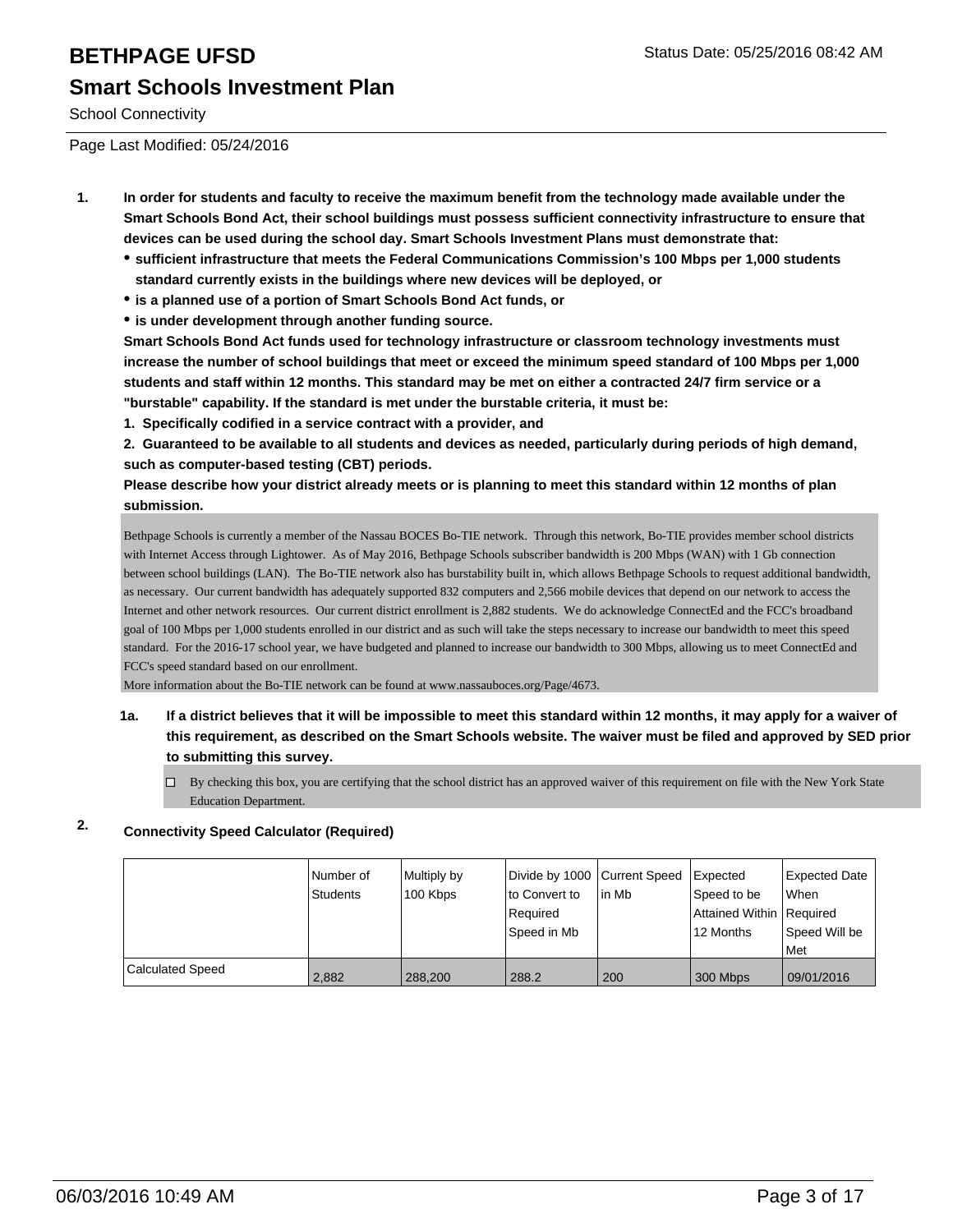# **BETHPAGE UFSD** Status Date: 05/25/2016 08:42 AM **Smart Schools Investment Plan**

School Connectivity

Page Last Modified: 05/24/2016

- **1. In order for students and faculty to receive the maximum benefit from the technology made available under the Smart Schools Bond Act, their school buildings must possess sufficient connectivity infrastructure to ensure that devices can be used during the school day. Smart Schools Investment Plans must demonstrate that:**
	- **sufficient infrastructure that meets the Federal Communications Commission's 100 Mbps per 1,000 students standard currently exists in the buildings where new devices will be deployed, or**
	- **is a planned use of a portion of Smart Schools Bond Act funds, or**
	- **is under development through another funding source.**

**Smart Schools Bond Act funds used for technology infrastructure or classroom technology investments must increase the number of school buildings that meet or exceed the minimum speed standard of 100 Mbps per 1,000 students and staff within 12 months. This standard may be met on either a contracted 24/7 firm service or a "burstable" capability. If the standard is met under the burstable criteria, it must be:**

**1. Specifically codified in a service contract with a provider, and**

**2. Guaranteed to be available to all students and devices as needed, particularly during periods of high demand, such as computer-based testing (CBT) periods.**

**Please describe how your district already meets or is planning to meet this standard within 12 months of plan submission.**

Bethpage Schools is currently a member of the Nassau BOCES Bo-TIE network. Through this network, Bo-TIE provides member school districts with Internet Access through Lightower. As of May 2016, Bethpage Schools subscriber bandwidth is 200 Mbps (WAN) with 1 Gb connection between school buildings (LAN). The Bo-TIE network also has burstability built in, which allows Bethpage Schools to request additional bandwidth, as necessary. Our current bandwidth has adequately supported 832 computers and 2,566 mobile devices that depend on our network to access the Internet and other network resources. Our current district enrollment is 2,882 students. We do acknowledge ConnectEd and the FCC's broadband goal of 100 Mbps per 1,000 students enrolled in our district and as such will take the steps necessary to increase our bandwidth to meet this speed standard. For the 2016-17 school year, we have budgeted and planned to increase our bandwidth to 300 Mbps, allowing us to meet ConnectEd and FCC's speed standard based on our enrollment.

More information about the Bo-TIE network can be found at www.nassauboces.org/Page/4673.

- **1a. If a district believes that it will be impossible to meet this standard within 12 months, it may apply for a waiver of this requirement, as described on the Smart Schools website. The waiver must be filed and approved by SED prior to submitting this survey.**
	- $\Box$  By checking this box, you are certifying that the school district has an approved waiver of this requirement on file with the New York State Education Department.

### **2. Connectivity Speed Calculator (Required)**

|                         | INumber of<br>Students | Multiply by<br>100 Kbps | Divide by 1000 Current Speed<br>to Convert to<br>Reauired<br>Speed in Mb | lin Mb | <b>I</b> Expected<br>Speed to be<br>Attained Within   Required<br>12 Months | Expected Date<br>When<br>Speed Will be<br>l Met |
|-------------------------|------------------------|-------------------------|--------------------------------------------------------------------------|--------|-----------------------------------------------------------------------------|-------------------------------------------------|
| <b>Calculated Speed</b> | 2,882                  | 288.200                 | 288.2                                                                    | 200    | 300 Mbps                                                                    | 09/01/2016                                      |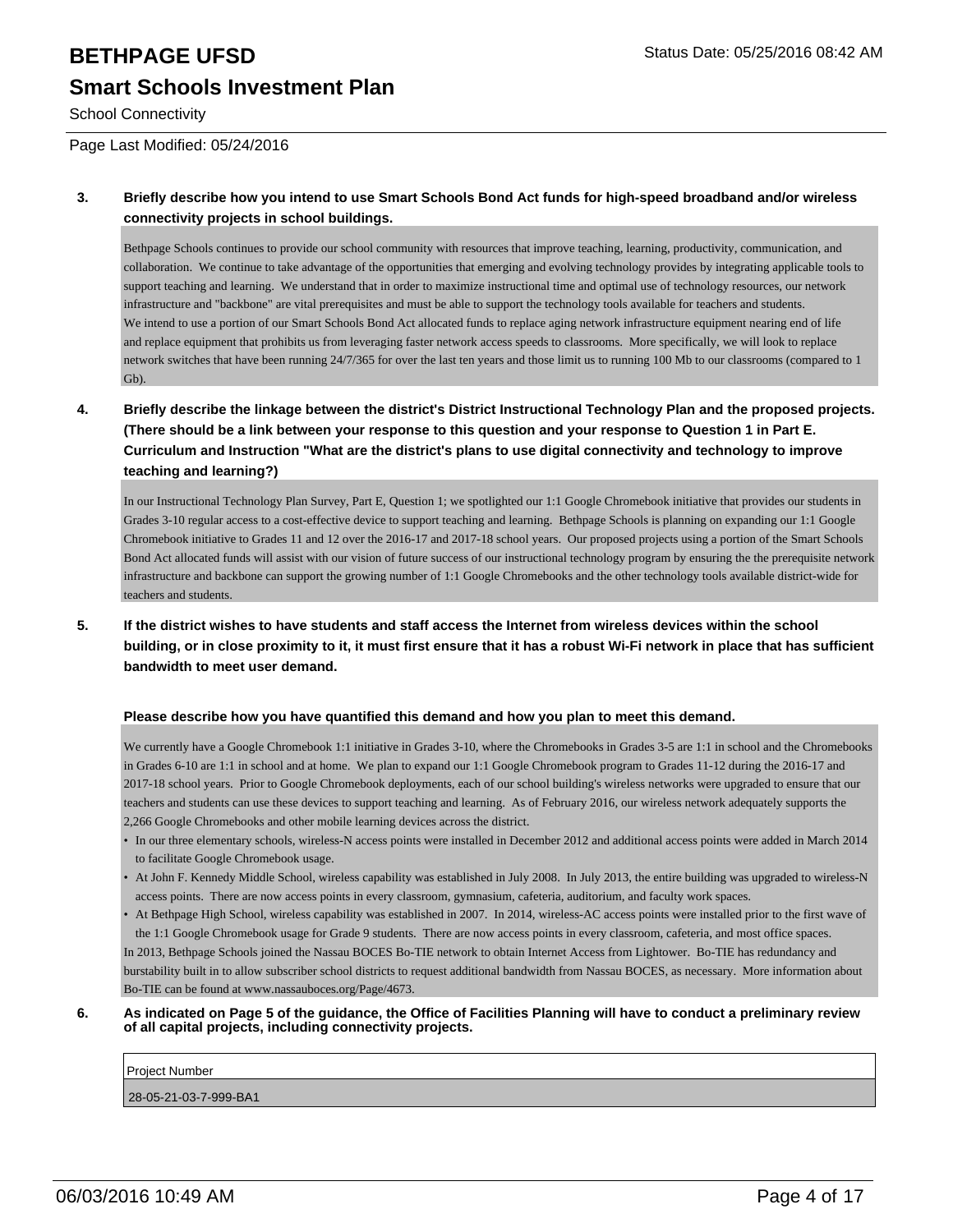# **BETHPAGE UFSD** Status Date: 05/25/2016 08:42 AM **Smart Schools Investment Plan**

School Connectivity

Page Last Modified: 05/24/2016

### **3. Briefly describe how you intend to use Smart Schools Bond Act funds for high-speed broadband and/or wireless connectivity projects in school buildings.**

Bethpage Schools continues to provide our school community with resources that improve teaching, learning, productivity, communication, and collaboration. We continue to take advantage of the opportunities that emerging and evolving technology provides by integrating applicable tools to support teaching and learning. We understand that in order to maximize instructional time and optimal use of technology resources, our network infrastructure and "backbone" are vital prerequisites and must be able to support the technology tools available for teachers and students. We intend to use a portion of our Smart Schools Bond Act allocated funds to replace aging network infrastructure equipment nearing end of life and replace equipment that prohibits us from leveraging faster network access speeds to classrooms. More specifically, we will look to replace network switches that have been running 24/7/365 for over the last ten years and those limit us to running 100 Mb to our classrooms (compared to 1 Gb).

**4. Briefly describe the linkage between the district's District Instructional Technology Plan and the proposed projects. (There should be a link between your response to this question and your response to Question 1 in Part E. Curriculum and Instruction "What are the district's plans to use digital connectivity and technology to improve teaching and learning?)**

In our Instructional Technology Plan Survey, Part E, Question 1; we spotlighted our 1:1 Google Chromebook initiative that provides our students in Grades 3-10 regular access to a cost-effective device to support teaching and learning. Bethpage Schools is planning on expanding our 1:1 Google Chromebook initiative to Grades 11 and 12 over the 2016-17 and 2017-18 school years. Our proposed projects using a portion of the Smart Schools Bond Act allocated funds will assist with our vision of future success of our instructional technology program by ensuring the the prerequisite network infrastructure and backbone can support the growing number of 1:1 Google Chromebooks and the other technology tools available district-wide for teachers and students.

**5. If the district wishes to have students and staff access the Internet from wireless devices within the school building, or in close proximity to it, it must first ensure that it has a robust Wi-Fi network in place that has sufficient bandwidth to meet user demand.**

### **Please describe how you have quantified this demand and how you plan to meet this demand.**

We currently have a Google Chromebook 1:1 initiative in Grades 3-10, where the Chromebooks in Grades 3-5 are 1:1 in school and the Chromebooks in Grades 6-10 are 1:1 in school and at home. We plan to expand our 1:1 Google Chromebook program to Grades 11-12 during the 2016-17 and 2017-18 school years. Prior to Google Chromebook deployments, each of our school building's wireless networks were upgraded to ensure that our teachers and students can use these devices to support teaching and learning. As of February 2016, our wireless network adequately supports the 2,266 Google Chromebooks and other mobile learning devices across the district.

- In our three elementary schools, wireless-N access points were installed in December 2012 and additional access points were added in March 2014 to facilitate Google Chromebook usage.
- At John F. Kennedy Middle School, wireless capability was established in July 2008. In July 2013, the entire building was upgraded to wireless-N access points. There are now access points in every classroom, gymnasium, cafeteria, auditorium, and faculty work spaces.
- At Bethpage High School, wireless capability was established in 2007. In 2014, wireless-AC access points were installed prior to the first wave of the 1:1 Google Chromebook usage for Grade 9 students. There are now access points in every classroom, cafeteria, and most office spaces. In 2013, Bethpage Schools joined the Nassau BOCES Bo-TIE network to obtain Internet Access from Lightower. Bo-TIE has redundancy and burstability built in to allow subscriber school districts to request additional bandwidth from Nassau BOCES, as necessary. More information about Bo-TIE can be found at www.nassauboces.org/Page/4673.
- **6. As indicated on Page 5 of the guidance, the Office of Facilities Planning will have to conduct a preliminary review of all capital projects, including connectivity projects.**

Project Number

28-05-21-03-7-999-BA1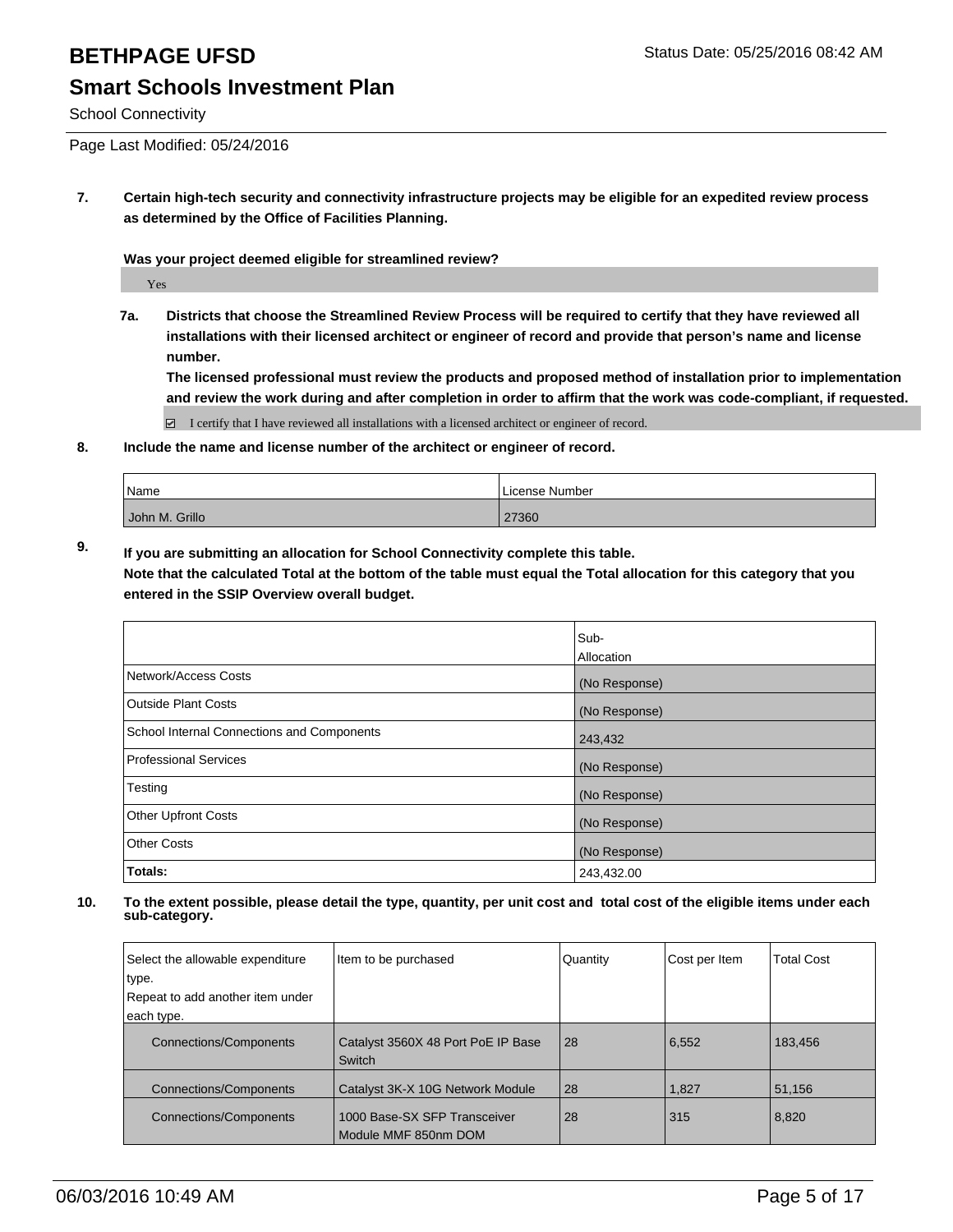# **BETHPAGE UFSD** Status Date: 05/25/2016 08:42 AM **Smart Schools Investment Plan**

### School Connectivity

Page Last Modified: 05/24/2016

**7. Certain high-tech security and connectivity infrastructure projects may be eligible for an expedited review process as determined by the Office of Facilities Planning.**

**Was your project deemed eligible for streamlined review?**

Yes

**7a. Districts that choose the Streamlined Review Process will be required to certify that they have reviewed all installations with their licensed architect or engineer of record and provide that person's name and license number.**

**The licensed professional must review the products and proposed method of installation prior to implementation and review the work during and after completion in order to affirm that the work was code-compliant, if requested.**

 $\boxtimes$  I certify that I have reviewed all installations with a licensed architect or engineer of record.

**8. Include the name and license number of the architect or engineer of record.**

| <sup>I</sup> Name | License Number |
|-------------------|----------------|
| John M. Grillo    | 27360          |

**9. If you are submitting an allocation for School Connectivity complete this table. Note that the calculated Total at the bottom of the table must equal the Total allocation for this category that you entered in the SSIP Overview overall budget.** 

|                                            | Sub-<br><b>Allocation</b> |
|--------------------------------------------|---------------------------|
| Network/Access Costs                       | (No Response)             |
| <b>Outside Plant Costs</b>                 | (No Response)             |
| School Internal Connections and Components | 243,432                   |
| <b>Professional Services</b>               | (No Response)             |
| Testing                                    | (No Response)             |
| <b>Other Upfront Costs</b>                 | (No Response)             |
| <b>Other Costs</b>                         | (No Response)             |
| Totals:                                    | 243,432.00                |

| Select the allowable expenditure<br>type. | Item to be purchased                                 | Quantity | Cost per Item | <b>Total Cost</b> |
|-------------------------------------------|------------------------------------------------------|----------|---------------|-------------------|
| Repeat to add another item under          |                                                      |          |               |                   |
| each type.                                |                                                      |          |               |                   |
| <b>Connections/Components</b>             | Catalyst 3560X 48 Port PoE IP Base<br>Switch         | 28       | 6,552         | 183,456           |
| <b>Connections/Components</b>             | Catalyst 3K-X 10G Network Module                     | 28       | 1,827         | 51,156            |
| <b>Connections/Components</b>             | 1000 Base-SX SFP Transceiver<br>Module MMF 850nm DOM | 28       | 315           | 8,820             |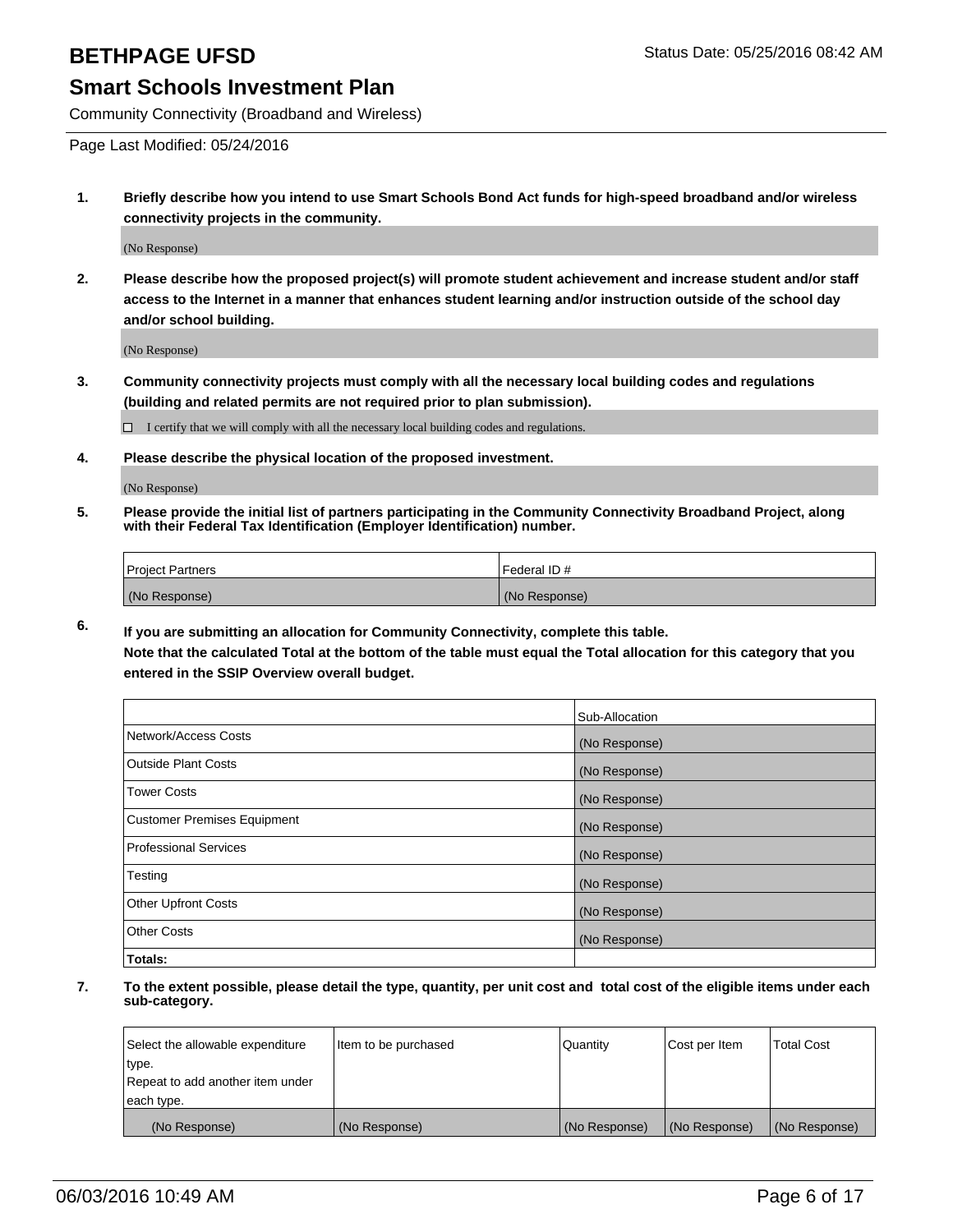Community Connectivity (Broadband and Wireless)

Page Last Modified: 05/24/2016

**1. Briefly describe how you intend to use Smart Schools Bond Act funds for high-speed broadband and/or wireless connectivity projects in the community.**

(No Response)

**2. Please describe how the proposed project(s) will promote student achievement and increase student and/or staff access to the Internet in a manner that enhances student learning and/or instruction outside of the school day and/or school building.**

(No Response)

**3. Community connectivity projects must comply with all the necessary local building codes and regulations (building and related permits are not required prior to plan submission).**

 $\Box$  I certify that we will comply with all the necessary local building codes and regulations.

**4. Please describe the physical location of the proposed investment.**

(No Response)

**5. Please provide the initial list of partners participating in the Community Connectivity Broadband Project, along with their Federal Tax Identification (Employer Identification) number.**

| Project Partners | I Federal ID # |
|------------------|----------------|
| (No Response)    | (No Response)  |

**6. If you are submitting an allocation for Community Connectivity, complete this table.**

**Note that the calculated Total at the bottom of the table must equal the Total allocation for this category that you entered in the SSIP Overview overall budget.**

|                             | Sub-Allocation |
|-----------------------------|----------------|
| Network/Access Costs        | (No Response)  |
| Outside Plant Costs         | (No Response)  |
| <b>Tower Costs</b>          | (No Response)  |
| Customer Premises Equipment | (No Response)  |
| Professional Services       | (No Response)  |
| Testing                     | (No Response)  |
| <b>Other Upfront Costs</b>  | (No Response)  |
| Other Costs                 | (No Response)  |
| Totals:                     |                |

| Select the allowable expenditure | Item to be purchased | Quantity      | Cost per Item | <b>Total Cost</b> |
|----------------------------------|----------------------|---------------|---------------|-------------------|
| type.                            |                      |               |               |                   |
| Repeat to add another item under |                      |               |               |                   |
| each type.                       |                      |               |               |                   |
| (No Response)                    | (No Response)        | (No Response) | (No Response) | (No Response)     |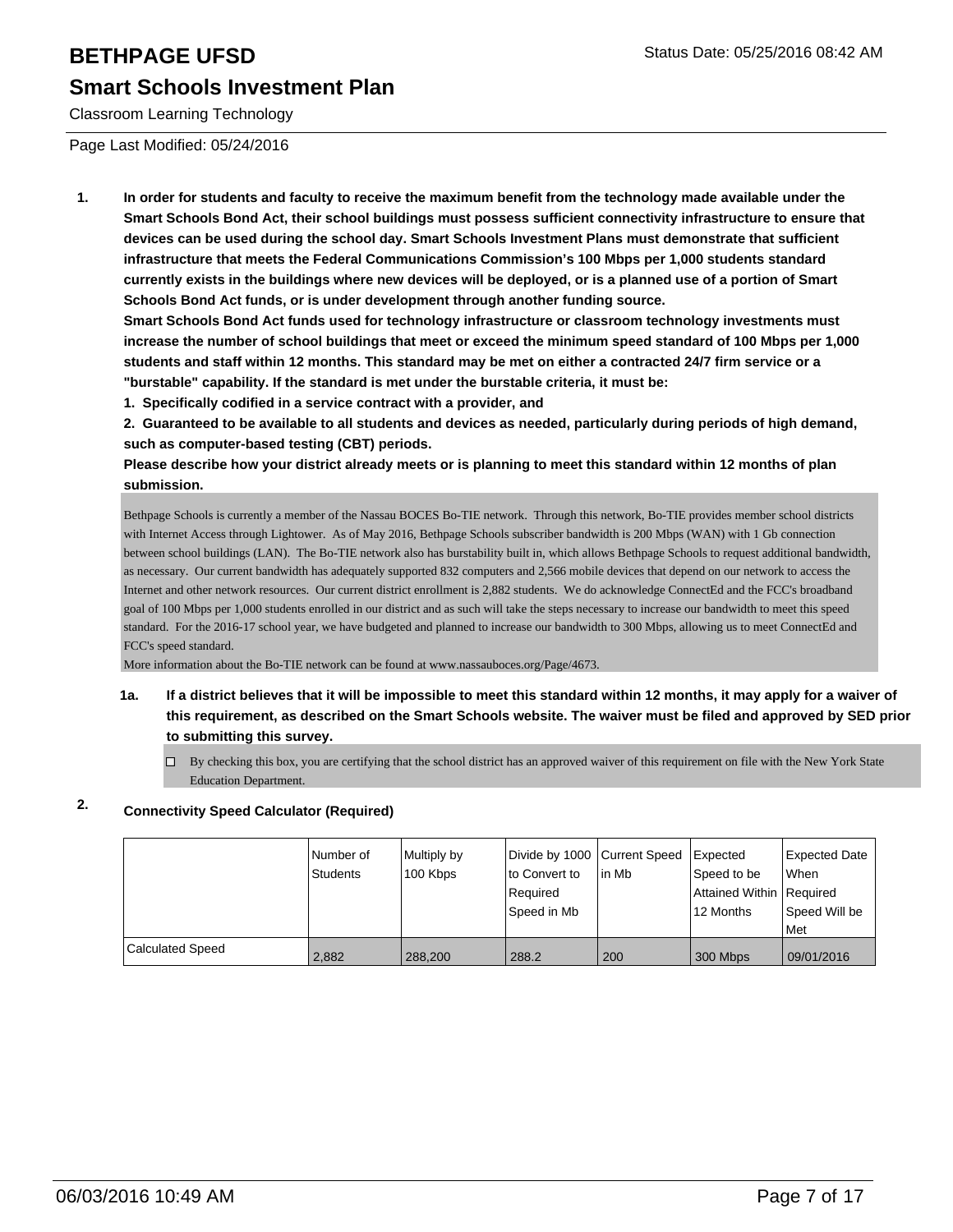Classroom Learning Technology

Page Last Modified: 05/24/2016

**1. In order for students and faculty to receive the maximum benefit from the technology made available under the Smart Schools Bond Act, their school buildings must possess sufficient connectivity infrastructure to ensure that devices can be used during the school day. Smart Schools Investment Plans must demonstrate that sufficient infrastructure that meets the Federal Communications Commission's 100 Mbps per 1,000 students standard currently exists in the buildings where new devices will be deployed, or is a planned use of a portion of Smart Schools Bond Act funds, or is under development through another funding source.**

**Smart Schools Bond Act funds used for technology infrastructure or classroom technology investments must increase the number of school buildings that meet or exceed the minimum speed standard of 100 Mbps per 1,000 students and staff within 12 months. This standard may be met on either a contracted 24/7 firm service or a "burstable" capability. If the standard is met under the burstable criteria, it must be:**

**1. Specifically codified in a service contract with a provider, and**

**2. Guaranteed to be available to all students and devices as needed, particularly during periods of high demand, such as computer-based testing (CBT) periods.**

**Please describe how your district already meets or is planning to meet this standard within 12 months of plan submission.**

Bethpage Schools is currently a member of the Nassau BOCES Bo-TIE network. Through this network, Bo-TIE provides member school districts with Internet Access through Lightower. As of May 2016, Bethpage Schools subscriber bandwidth is 200 Mbps (WAN) with 1 Gb connection between school buildings (LAN). The Bo-TIE network also has burstability built in, which allows Bethpage Schools to request additional bandwidth, as necessary. Our current bandwidth has adequately supported 832 computers and 2,566 mobile devices that depend on our network to access the Internet and other network resources. Our current district enrollment is 2,882 students. We do acknowledge ConnectEd and the FCC's broadband goal of 100 Mbps per 1,000 students enrolled in our district and as such will take the steps necessary to increase our bandwidth to meet this speed standard. For the 2016-17 school year, we have budgeted and planned to increase our bandwidth to 300 Mbps, allowing us to meet ConnectEd and FCC's speed standard.

More information about the Bo-TIE network can be found at www.nassauboces.org/Page/4673.

- **1a. If a district believes that it will be impossible to meet this standard within 12 months, it may apply for a waiver of this requirement, as described on the Smart Schools website. The waiver must be filed and approved by SED prior to submitting this survey.**
	- $\Box$  By checking this box, you are certifying that the school district has an approved waiver of this requirement on file with the New York State Education Department.

## **2. Connectivity Speed Calculator (Required)**

|                         | INumber of<br><b>Students</b> | Multiply by<br>100 Kbps | Divide by 1000 Current Speed<br>lto Convert to<br>l Reauired<br>Speed in Mb | lin Mb | Expected<br>Speed to be<br>Attained Within   Required<br>12 Months | Expected Date<br><b>When</b><br>Speed Will be<br>l Met |
|-------------------------|-------------------------------|-------------------------|-----------------------------------------------------------------------------|--------|--------------------------------------------------------------------|--------------------------------------------------------|
| <b>Calculated Speed</b> | 2.882                         | 288.200                 | 288.2                                                                       | 200    | 300 Mbps                                                           | 09/01/2016                                             |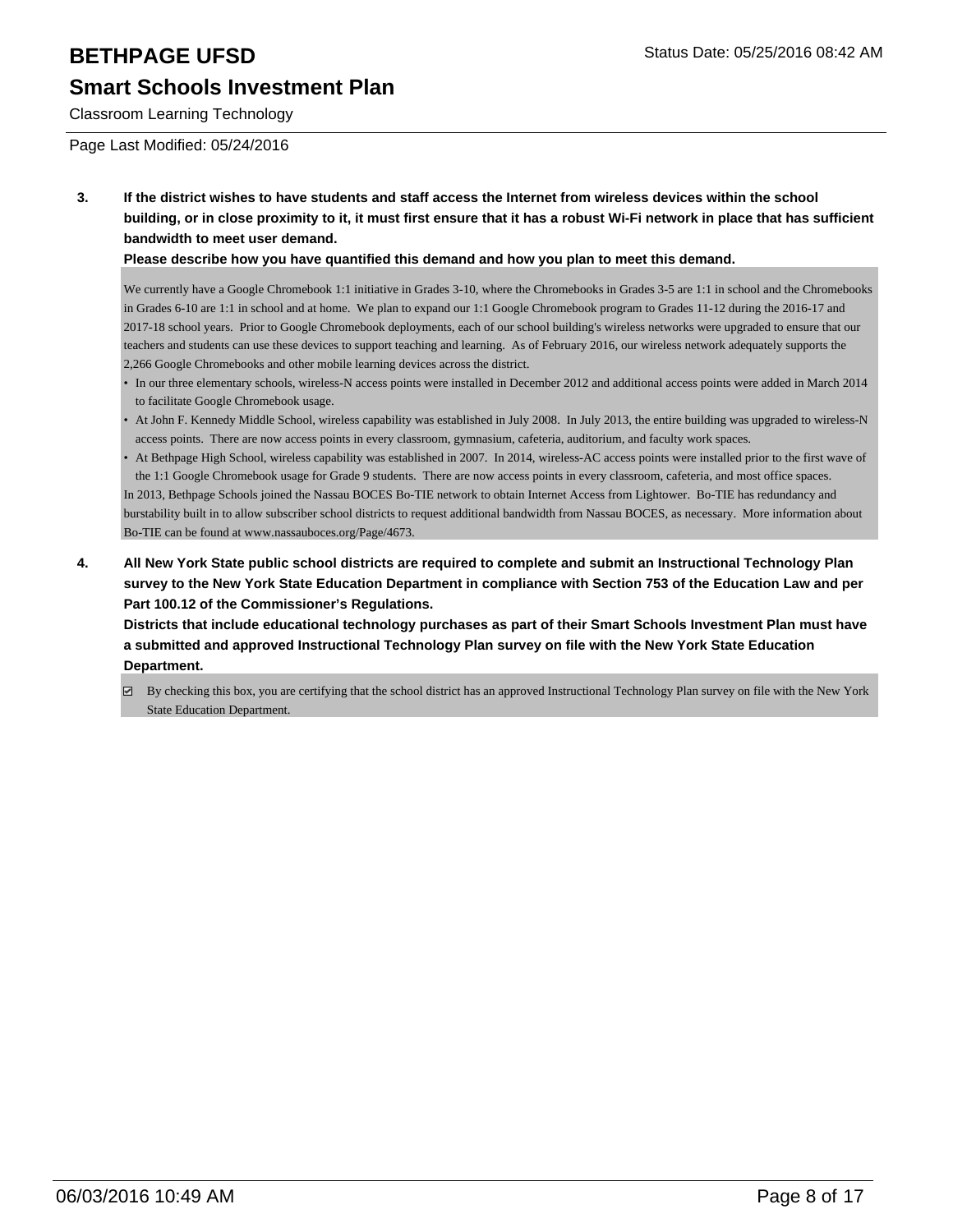# **Smart Schools Investment Plan**

Classroom Learning Technology

Page Last Modified: 05/24/2016

**3. If the district wishes to have students and staff access the Internet from wireless devices within the school building, or in close proximity to it, it must first ensure that it has a robust Wi-Fi network in place that has sufficient bandwidth to meet user demand.**

### **Please describe how you have quantified this demand and how you plan to meet this demand.**

We currently have a Google Chromebook 1:1 initiative in Grades 3-10, where the Chromebooks in Grades 3-5 are 1:1 in school and the Chromebooks in Grades 6-10 are 1:1 in school and at home. We plan to expand our 1:1 Google Chromebook program to Grades 11-12 during the 2016-17 and 2017-18 school years. Prior to Google Chromebook deployments, each of our school building's wireless networks were upgraded to ensure that our teachers and students can use these devices to support teaching and learning. As of February 2016, our wireless network adequately supports the 2,266 Google Chromebooks and other mobile learning devices across the district.

- In our three elementary schools, wireless-N access points were installed in December 2012 and additional access points were added in March 2014 to facilitate Google Chromebook usage.
- At John F. Kennedy Middle School, wireless capability was established in July 2008. In July 2013, the entire building was upgraded to wireless-N access points. There are now access points in every classroom, gymnasium, cafeteria, auditorium, and faculty work spaces.
- At Bethpage High School, wireless capability was established in 2007. In 2014, wireless-AC access points were installed prior to the first wave of the 1:1 Google Chromebook usage for Grade 9 students. There are now access points in every classroom, cafeteria, and most office spaces. In 2013, Bethpage Schools joined the Nassau BOCES Bo-TIE network to obtain Internet Access from Lightower. Bo-TIE has redundancy and burstability built in to allow subscriber school districts to request additional bandwidth from Nassau BOCES, as necessary. More information about Bo-TIE can be found at www.nassauboces.org/Page/4673.
- **4. All New York State public school districts are required to complete and submit an Instructional Technology Plan survey to the New York State Education Department in compliance with Section 753 of the Education Law and per Part 100.12 of the Commissioner's Regulations.**

**Districts that include educational technology purchases as part of their Smart Schools Investment Plan must have a submitted and approved Instructional Technology Plan survey on file with the New York State Education Department.**

By checking this box, you are certifying that the school district has an approved Instructional Technology Plan survey on file with the New York State Education Department.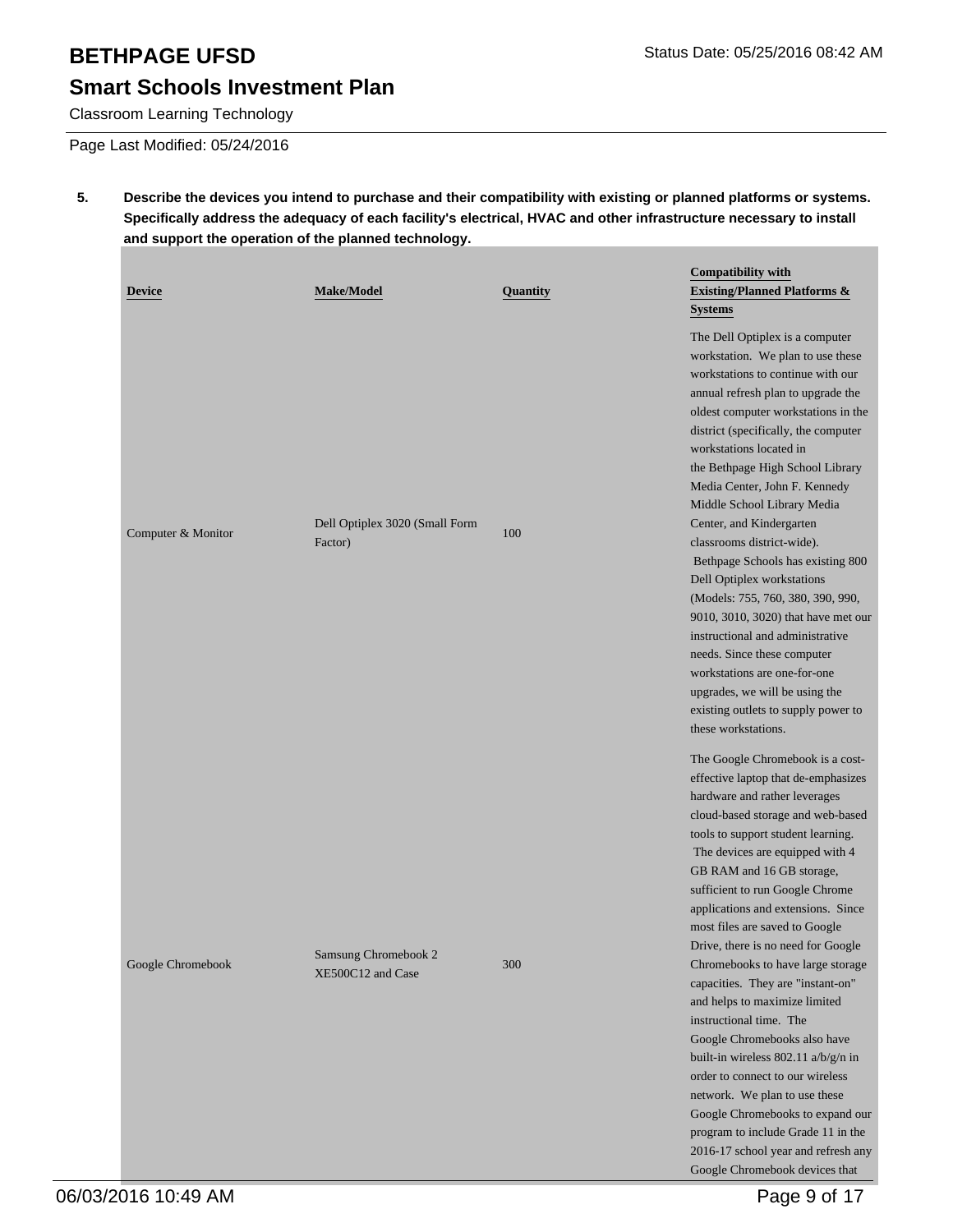# **Smart Schools Investment Plan**

Classroom Learning Technology

Page Last Modified: 05/24/2016

**5. Describe the devices you intend to purchase and their compatibility with existing or planned platforms or systems. Specifically address the adequacy of each facility's electrical, HVAC and other infrastructure necessary to install and support the operation of the planned technology.**

| <b>Device</b>      | <b>Make/Model</b>                         | Quantity | <b>Compatibility with</b><br><b>Existing/Planned Platforms &amp;</b><br><b>Systems</b>                                                                                                                                                                                                                                                                                                                                                                                                                                                                                                                                                                                                                                                                                                                                                    |
|--------------------|-------------------------------------------|----------|-------------------------------------------------------------------------------------------------------------------------------------------------------------------------------------------------------------------------------------------------------------------------------------------------------------------------------------------------------------------------------------------------------------------------------------------------------------------------------------------------------------------------------------------------------------------------------------------------------------------------------------------------------------------------------------------------------------------------------------------------------------------------------------------------------------------------------------------|
| Computer & Monitor | Dell Optiplex 3020 (Small Form<br>Factor) | 100      | The Dell Optiplex is a computer<br>workstation. We plan to use these<br>workstations to continue with our<br>annual refresh plan to upgrade the<br>oldest computer workstations in the<br>district (specifically, the computer<br>workstations located in<br>the Bethpage High School Library<br>Media Center, John F. Kennedy<br>Middle School Library Media<br>Center, and Kindergarten<br>classrooms district-wide).<br>Bethpage Schools has existing 800<br>Dell Optiplex workstations<br>(Models: 755, 760, 380, 390, 990,<br>9010, 3010, 3020) that have met our<br>instructional and administrative<br>needs. Since these computer<br>workstations are one-for-one<br>upgrades, we will be using the<br>existing outlets to supply power to<br>these workstations.                                                                 |
| Google Chromebook  | Samsung Chromebook 2<br>XE500C12 and Case | 300      | The Google Chromebook is a cost-<br>effective laptop that de-emphasizes<br>hardware and rather leverages<br>cloud-based storage and web-based<br>tools to support student learning.<br>The devices are equipped with 4<br>GB RAM and 16 GB storage,<br>sufficient to run Google Chrome<br>applications and extensions. Since<br>most files are saved to Google<br>Drive, there is no need for Google<br>Chromebooks to have large storage<br>capacities. They are "instant-on"<br>and helps to maximize limited<br>instructional time. The<br>Google Chromebooks also have<br>built-in wireless 802.11 a/b/g/n in<br>order to connect to our wireless<br>network. We plan to use these<br>Google Chromebooks to expand our<br>program to include Grade 11 in the<br>2016-17 school year and refresh any<br>Google Chromebook devices that |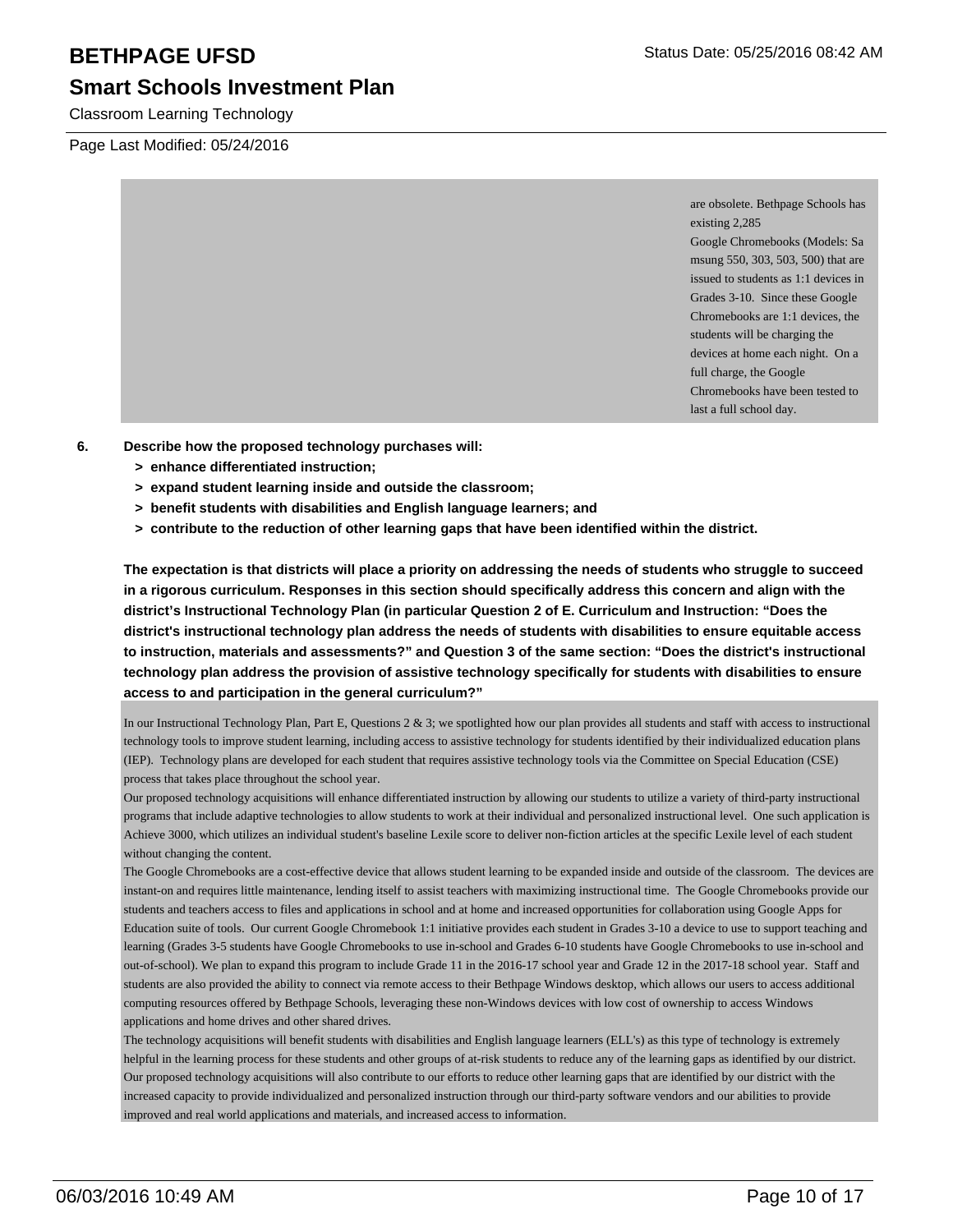Classroom Learning Technology

Page Last Modified: 05/24/2016

are obsolete. Bethpage Schools has existing 2,285 Google Chromebooks (Models: Sa msung 550, 303, 503, 500) that are issued to students as 1:1 devices in Grades 3-10. Since these Google Chromebooks are 1:1 devices, the students will be charging the devices at home each night. On a full charge, the Google Chromebooks have been tested to last a full school day.

- **6. Describe how the proposed technology purchases will:**
	- **> enhance differentiated instruction;**
	- **> expand student learning inside and outside the classroom;**
	- **> benefit students with disabilities and English language learners; and**
	- **> contribute to the reduction of other learning gaps that have been identified within the district.**

**The expectation is that districts will place a priority on addressing the needs of students who struggle to succeed in a rigorous curriculum. Responses in this section should specifically address this concern and align with the district's Instructional Technology Plan (in particular Question 2 of E. Curriculum and Instruction: "Does the district's instructional technology plan address the needs of students with disabilities to ensure equitable access to instruction, materials and assessments?" and Question 3 of the same section: "Does the district's instructional technology plan address the provision of assistive technology specifically for students with disabilities to ensure access to and participation in the general curriculum?"**

In our Instructional Technology Plan, Part E, Questions  $2 \& 3$ ; we spotlighted how our plan provides all students and staff with access to instructional technology tools to improve student learning, including access to assistive technology for students identified by their individualized education plans (IEP). Technology plans are developed for each student that requires assistive technology tools via the Committee on Special Education (CSE) process that takes place throughout the school year.

Our proposed technology acquisitions will enhance differentiated instruction by allowing our students to utilize a variety of third-party instructional programs that include adaptive technologies to allow students to work at their individual and personalized instructional level. One such application is Achieve 3000, which utilizes an individual student's baseline Lexile score to deliver non-fiction articles at the specific Lexile level of each student without changing the content.

The Google Chromebooks are a cost-effective device that allows student learning to be expanded inside and outside of the classroom. The devices are instant-on and requires little maintenance, lending itself to assist teachers with maximizing instructional time. The Google Chromebooks provide our students and teachers access to files and applications in school and at home and increased opportunities for collaboration using Google Apps for Education suite of tools. Our current Google Chromebook 1:1 initiative provides each student in Grades 3-10 a device to use to support teaching and learning (Grades 3-5 students have Google Chromebooks to use in-school and Grades 6-10 students have Google Chromebooks to use in-school and out-of-school). We plan to expand this program to include Grade 11 in the 2016-17 school year and Grade 12 in the 2017-18 school year. Staff and students are also provided the ability to connect via remote access to their Bethpage Windows desktop, which allows our users to access additional computing resources offered by Bethpage Schools, leveraging these non-Windows devices with low cost of ownership to access Windows applications and home drives and other shared drives.

The technology acquisitions will benefit students with disabilities and English language learners (ELL's) as this type of technology is extremely helpful in the learning process for these students and other groups of at-risk students to reduce any of the learning gaps as identified by our district. Our proposed technology acquisitions will also contribute to our efforts to reduce other learning gaps that are identified by our district with the increased capacity to provide individualized and personalized instruction through our third-party software vendors and our abilities to provide improved and real world applications and materials, and increased access to information.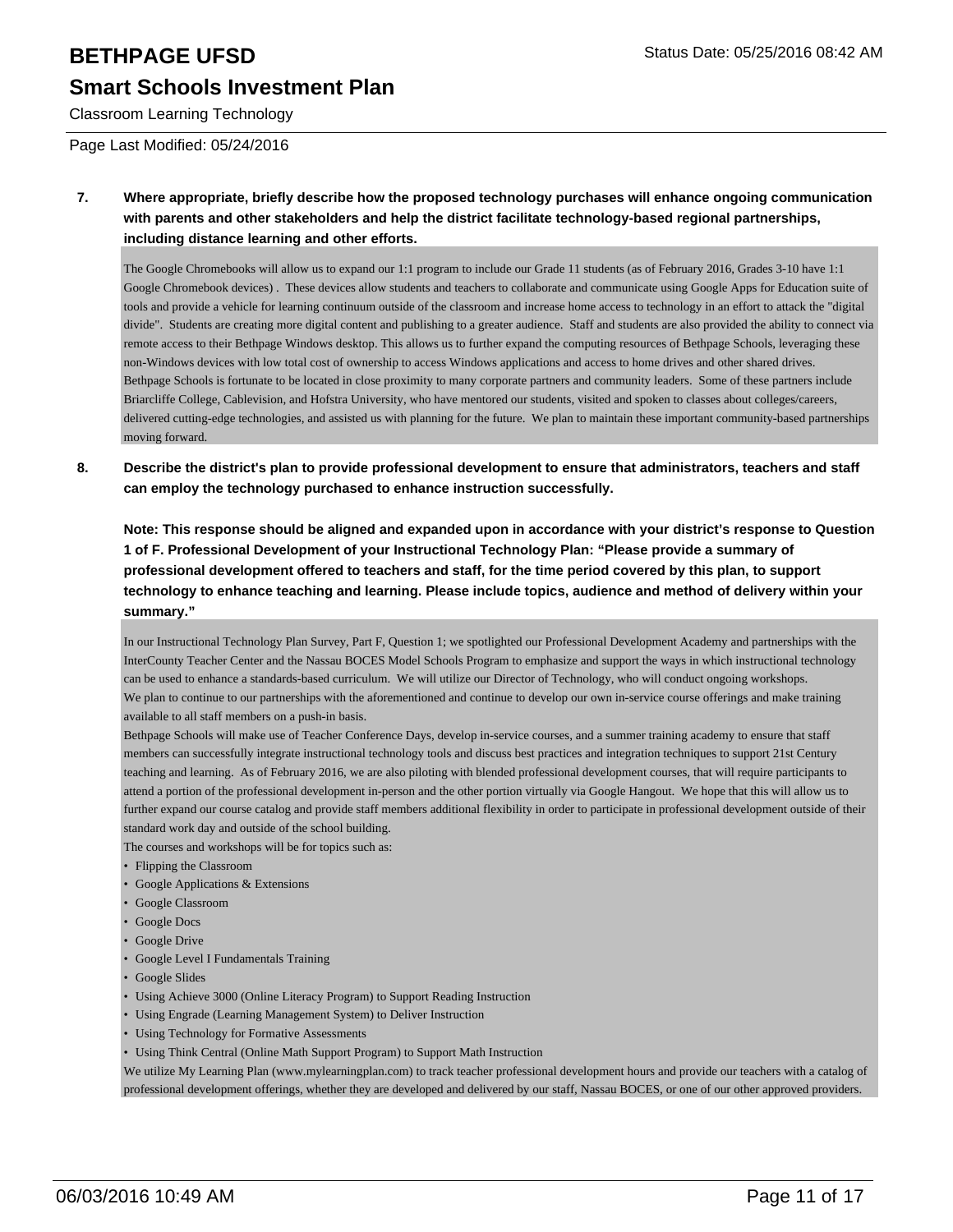# **Smart Schools Investment Plan**

Classroom Learning Technology

Page Last Modified: 05/24/2016

**7. Where appropriate, briefly describe how the proposed technology purchases will enhance ongoing communication with parents and other stakeholders and help the district facilitate technology-based regional partnerships, including distance learning and other efforts.**

The Google Chromebooks will allow us to expand our 1:1 program to include our Grade 11 students (as of February 2016, Grades 3-10 have 1:1 Google Chromebook devices) . These devices allow students and teachers to collaborate and communicate using Google Apps for Education suite of tools and provide a vehicle for learning continuum outside of the classroom and increase home access to technology in an effort to attack the "digital divide". Students are creating more digital content and publishing to a greater audience. Staff and students are also provided the ability to connect via remote access to their Bethpage Windows desktop. This allows us to further expand the computing resources of Bethpage Schools, leveraging these non-Windows devices with low total cost of ownership to access Windows applications and access to home drives and other shared drives. Bethpage Schools is fortunate to be located in close proximity to many corporate partners and community leaders. Some of these partners include Briarcliffe College, Cablevision, and Hofstra University, who have mentored our students, visited and spoken to classes about colleges/careers, delivered cutting-edge technologies, and assisted us with planning for the future. We plan to maintain these important community-based partnerships moving forward.

**8. Describe the district's plan to provide professional development to ensure that administrators, teachers and staff can employ the technology purchased to enhance instruction successfully.**

**Note: This response should be aligned and expanded upon in accordance with your district's response to Question 1 of F. Professional Development of your Instructional Technology Plan: "Please provide a summary of professional development offered to teachers and staff, for the time period covered by this plan, to support technology to enhance teaching and learning. Please include topics, audience and method of delivery within your summary."**

In our Instructional Technology Plan Survey, Part F, Question 1; we spotlighted our Professional Development Academy and partnerships with the InterCounty Teacher Center and the Nassau BOCES Model Schools Program to emphasize and support the ways in which instructional technology can be used to enhance a standards-based curriculum. We will utilize our Director of Technology, who will conduct ongoing workshops. We plan to continue to our partnerships with the aforementioned and continue to develop our own in-service course offerings and make training available to all staff members on a push-in basis.

Bethpage Schools will make use of Teacher Conference Days, develop in-service courses, and a summer training academy to ensure that staff members can successfully integrate instructional technology tools and discuss best practices and integration techniques to support 21st Century teaching and learning. As of February 2016, we are also piloting with blended professional development courses, that will require participants to attend a portion of the professional development in-person and the other portion virtually via Google Hangout. We hope that this will allow us to further expand our course catalog and provide staff members additional flexibility in order to participate in professional development outside of their standard work day and outside of the school building.

The courses and workshops will be for topics such as:

- Flipping the Classroom
- Google Applications & Extensions
- Google Classroom
- Google Docs
- Google Drive
- Google Level I Fundamentals Training
- Google Slides
- Using Achieve 3000 (Online Literacy Program) to Support Reading Instruction
- Using Engrade (Learning Management System) to Deliver Instruction
- Using Technology for Formative Assessments
- Using Think Central (Online Math Support Program) to Support Math Instruction

We utilize My Learning Plan (www.mylearningplan.com) to track teacher professional development hours and provide our teachers with a catalog of professional development offerings, whether they are developed and delivered by our staff, Nassau BOCES, or one of our other approved providers.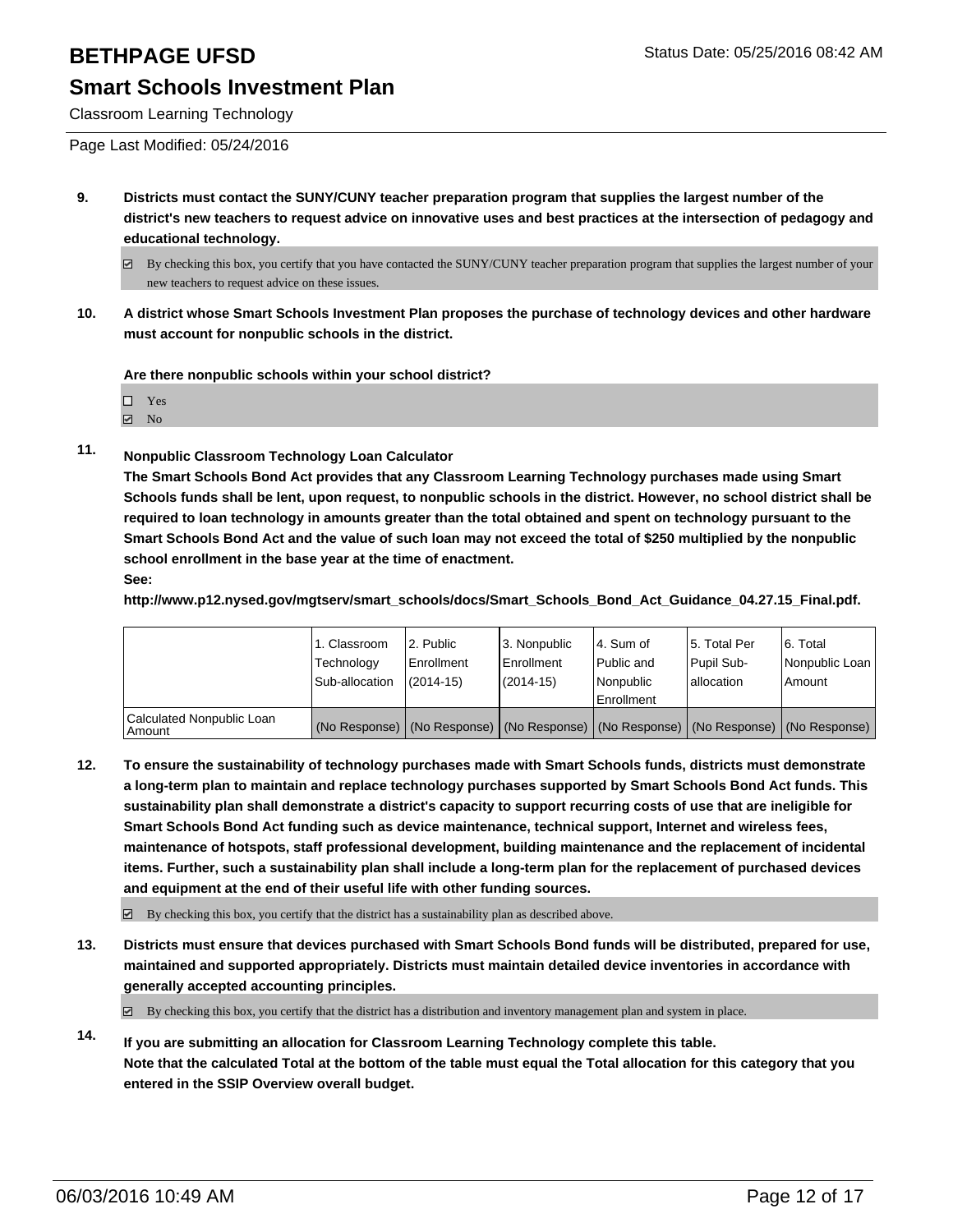Classroom Learning Technology

- **9. Districts must contact the SUNY/CUNY teacher preparation program that supplies the largest number of the district's new teachers to request advice on innovative uses and best practices at the intersection of pedagogy and educational technology.**
	- $\boxtimes$  By checking this box, you certify that you have contacted the SUNY/CUNY teacher preparation program that supplies the largest number of your new teachers to request advice on these issues.
- **10. A district whose Smart Schools Investment Plan proposes the purchase of technology devices and other hardware must account for nonpublic schools in the district.**

**Are there nonpublic schools within your school district?**

| $\Box$ Yes |  |
|------------|--|
| ☑ No       |  |

**11. Nonpublic Classroom Technology Loan Calculator**

**The Smart Schools Bond Act provides that any Classroom Learning Technology purchases made using Smart Schools funds shall be lent, upon request, to nonpublic schools in the district. However, no school district shall be required to loan technology in amounts greater than the total obtained and spent on technology pursuant to the Smart Schools Bond Act and the value of such loan may not exceed the total of \$250 multiplied by the nonpublic school enrollment in the base year at the time of enactment.**

**See:**

**http://www.p12.nysed.gov/mgtserv/smart\_schools/docs/Smart\_Schools\_Bond\_Act\_Guidance\_04.27.15\_Final.pdf.**

|                                         | 1. Classroom<br>Technology<br>Sub-allocation | 2. Public<br>Enrollment<br>$(2014 - 15)$ | 3. Nonpublic<br>Enrollment<br>(2014-15) | l 4. Sum of<br>l Public and<br>l Nonpublic<br>Enrollment                                      | 15. Total Per<br>Pupil Sub-<br>Iallocation | 6. Total<br>Nonpublic Loan  <br>Amount |
|-----------------------------------------|----------------------------------------------|------------------------------------------|-----------------------------------------|-----------------------------------------------------------------------------------------------|--------------------------------------------|----------------------------------------|
| Calculated Nonpublic Loan<br>l Amount i |                                              |                                          |                                         | (No Response)   (No Response)   (No Response)   (No Response)   (No Response)   (No Response) |                                            |                                        |

**12. To ensure the sustainability of technology purchases made with Smart Schools funds, districts must demonstrate a long-term plan to maintain and replace technology purchases supported by Smart Schools Bond Act funds. This sustainability plan shall demonstrate a district's capacity to support recurring costs of use that are ineligible for Smart Schools Bond Act funding such as device maintenance, technical support, Internet and wireless fees, maintenance of hotspots, staff professional development, building maintenance and the replacement of incidental items. Further, such a sustainability plan shall include a long-term plan for the replacement of purchased devices and equipment at the end of their useful life with other funding sources.**

 $\boxdot$  By checking this box, you certify that the district has a sustainability plan as described above.

**13. Districts must ensure that devices purchased with Smart Schools Bond funds will be distributed, prepared for use, maintained and supported appropriately. Districts must maintain detailed device inventories in accordance with generally accepted accounting principles.**

 $\boxtimes$  By checking this box, you certify that the district has a distribution and inventory management plan and system in place.

**14. If you are submitting an allocation for Classroom Learning Technology complete this table. Note that the calculated Total at the bottom of the table must equal the Total allocation for this category that you entered in the SSIP Overview overall budget.**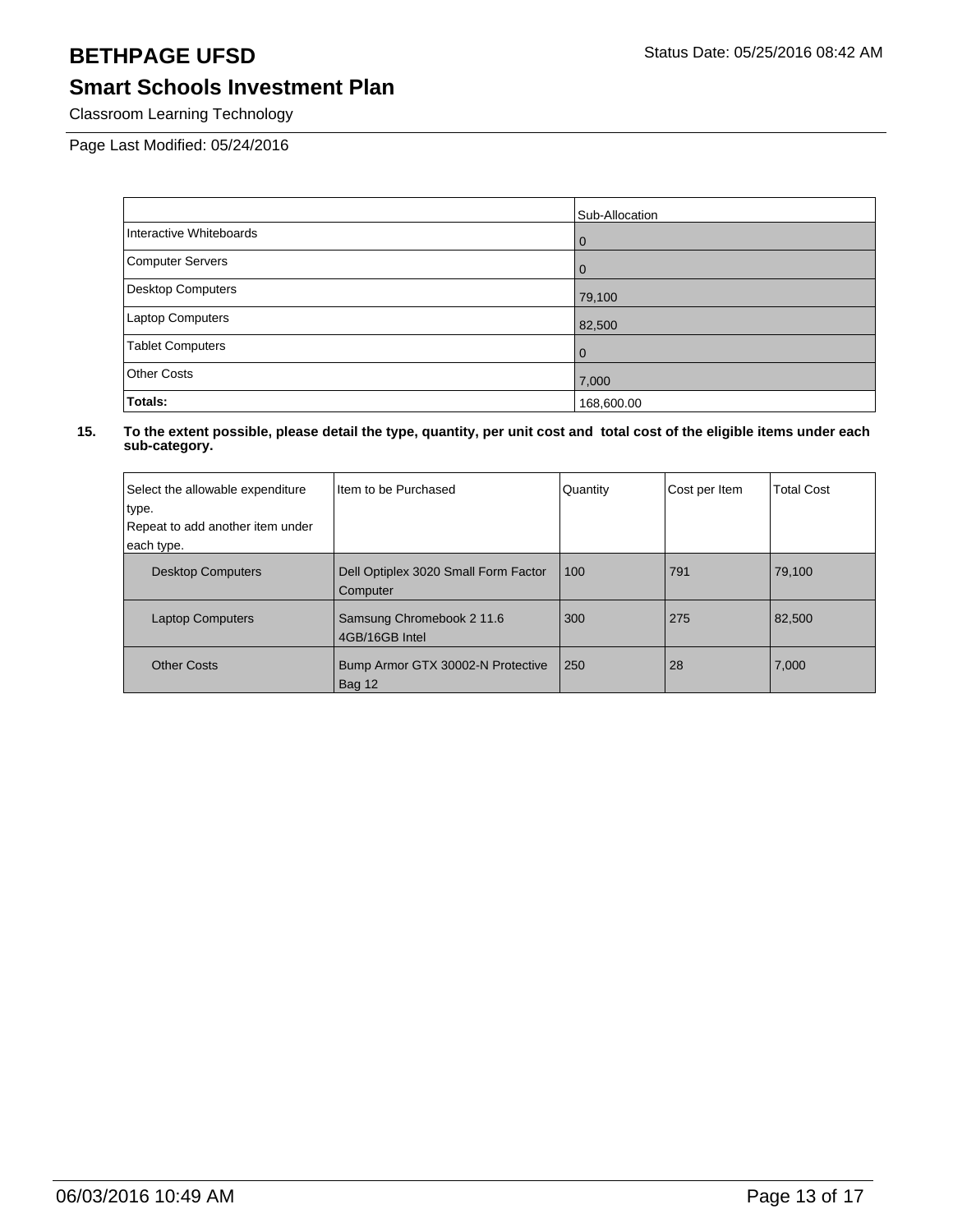Classroom Learning Technology

Page Last Modified: 05/24/2016

|                          | Sub-Allocation |
|--------------------------|----------------|
| Interactive Whiteboards  | l 0            |
| <b>Computer Servers</b>  | l 0            |
| <b>Desktop Computers</b> | 79,100         |
| Laptop Computers         | 82,500         |
| <b>Tablet Computers</b>  | l 0            |
| <b>Other Costs</b>       | 7,000          |
| Totals:                  | 168,600.00     |

| Select the allowable expenditure<br>type.<br>Repeat to add another item under<br>each type. | Item to be Purchased                             | Quantity | Cost per Item | <b>Total Cost</b> |
|---------------------------------------------------------------------------------------------|--------------------------------------------------|----------|---------------|-------------------|
| <b>Desktop Computers</b>                                                                    | Dell Optiplex 3020 Small Form Factor<br>Computer | 100      | 791           | 79,100            |
| <b>Laptop Computers</b>                                                                     | Samsung Chromebook 2 11.6<br>4GB/16GB Intel      | 300      | 275           | 82,500            |
| <b>Other Costs</b>                                                                          | Bump Armor GTX 30002-N Protective<br>Bag 12      | 250      | 28            | 7,000             |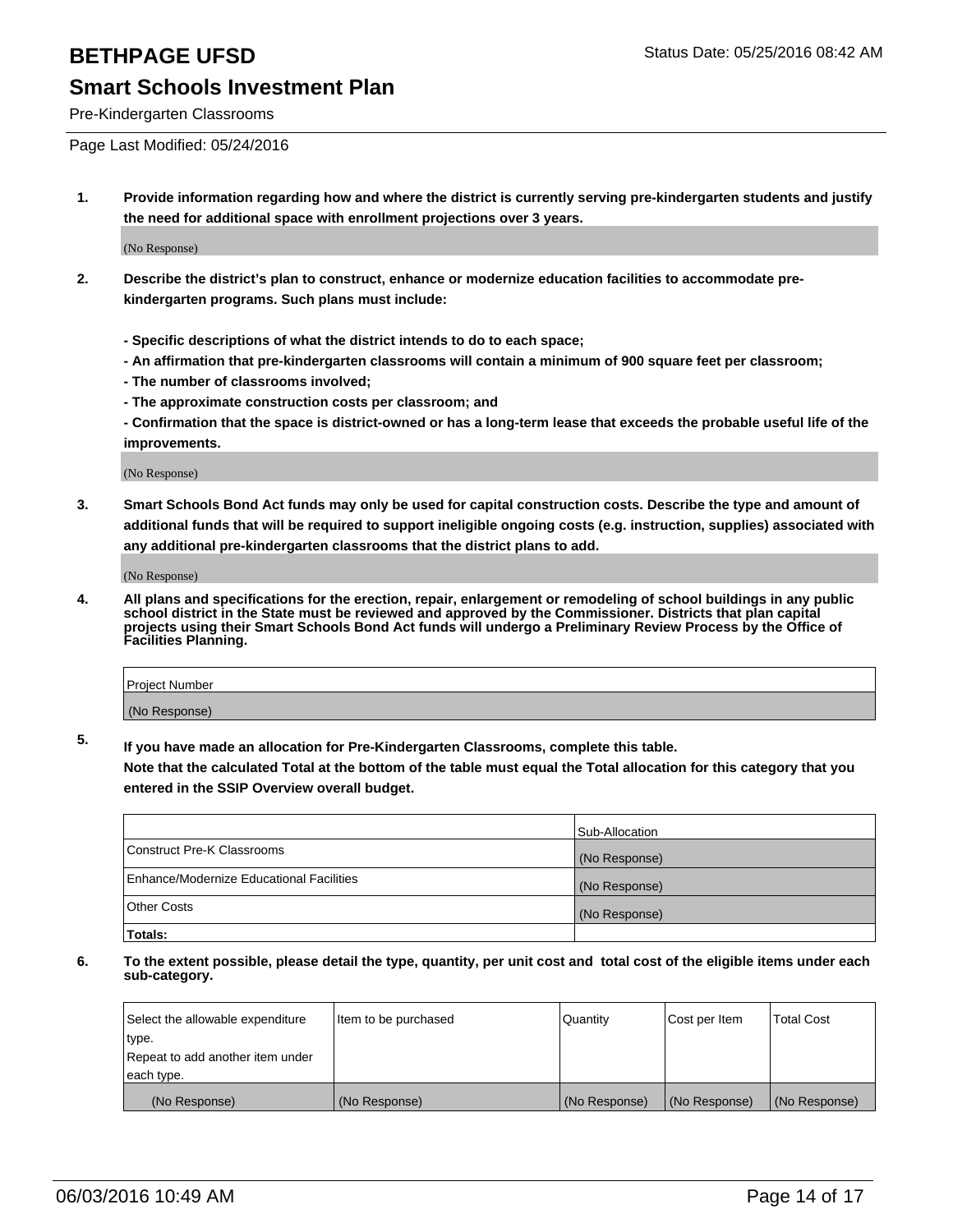Pre-Kindergarten Classrooms

Page Last Modified: 05/24/2016

**1. Provide information regarding how and where the district is currently serving pre-kindergarten students and justify the need for additional space with enrollment projections over 3 years.**

(No Response)

- **2. Describe the district's plan to construct, enhance or modernize education facilities to accommodate prekindergarten programs. Such plans must include:**
	- **Specific descriptions of what the district intends to do to each space;**
	- **An affirmation that pre-kindergarten classrooms will contain a minimum of 900 square feet per classroom;**
	- **The number of classrooms involved;**
	- **The approximate construction costs per classroom; and**
	- **Confirmation that the space is district-owned or has a long-term lease that exceeds the probable useful life of the improvements.**

(No Response)

**3. Smart Schools Bond Act funds may only be used for capital construction costs. Describe the type and amount of additional funds that will be required to support ineligible ongoing costs (e.g. instruction, supplies) associated with any additional pre-kindergarten classrooms that the district plans to add.**

(No Response)

**4. All plans and specifications for the erection, repair, enlargement or remodeling of school buildings in any public school district in the State must be reviewed and approved by the Commissioner. Districts that plan capital projects using their Smart Schools Bond Act funds will undergo a Preliminary Review Process by the Office of Facilities Planning.**

| Project Number |  |
|----------------|--|
| (No Response)  |  |

**5. If you have made an allocation for Pre-Kindergarten Classrooms, complete this table.**

**Note that the calculated Total at the bottom of the table must equal the Total allocation for this category that you entered in the SSIP Overview overall budget.**

|                                          | Sub-Allocation |
|------------------------------------------|----------------|
| Construct Pre-K Classrooms               | (No Response)  |
| Enhance/Modernize Educational Facilities | (No Response)  |
| Other Costs                              | (No Response)  |
| Totals:                                  |                |

| Select the allowable expenditure | Item to be purchased | Quantity      | Cost per Item | <b>Total Cost</b> |
|----------------------------------|----------------------|---------------|---------------|-------------------|
| type.                            |                      |               |               |                   |
| Repeat to add another item under |                      |               |               |                   |
| each type.                       |                      |               |               |                   |
| (No Response)                    | (No Response)        | (No Response) | (No Response) | (No Response)     |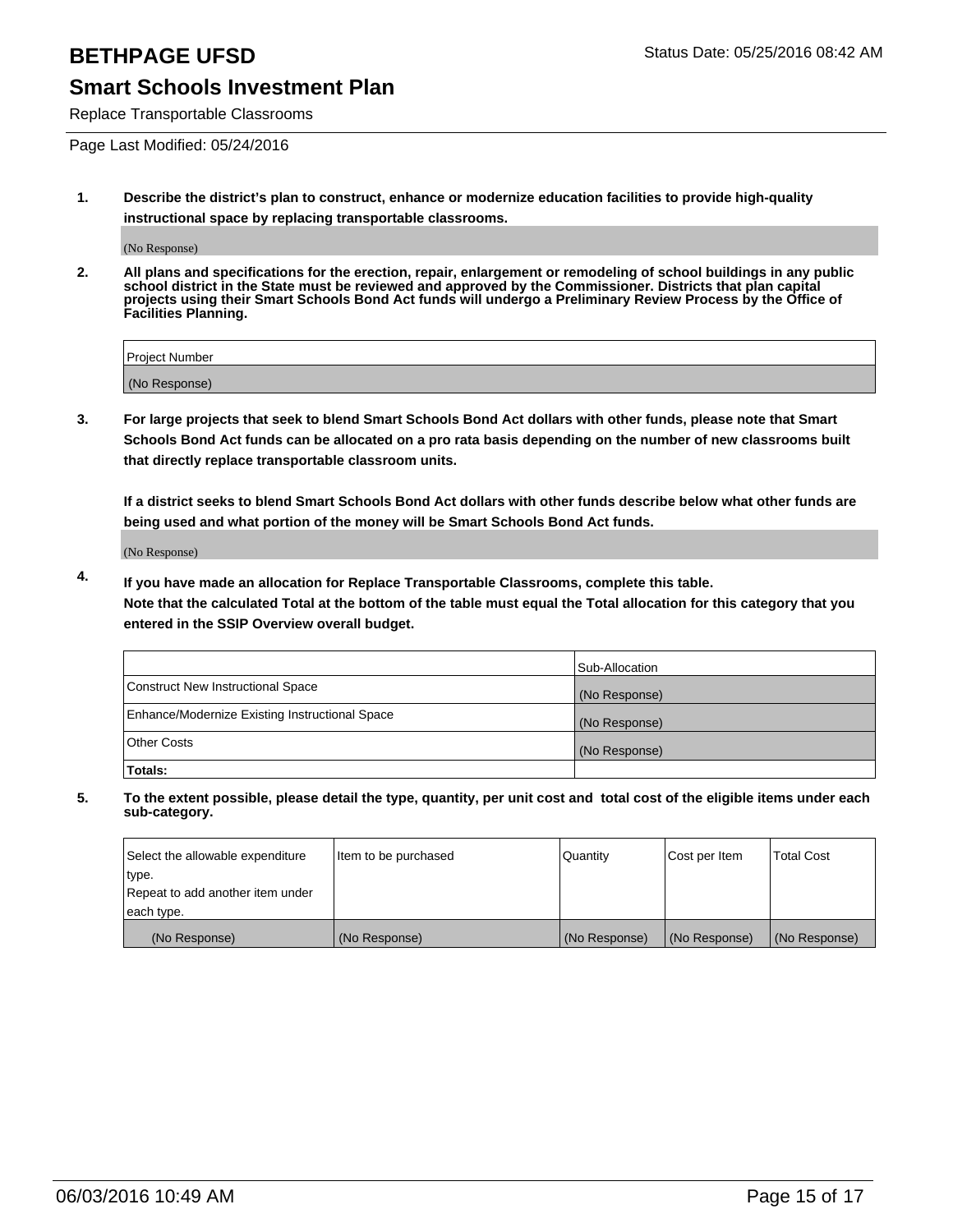Replace Transportable Classrooms

Page Last Modified: 05/24/2016

**1. Describe the district's plan to construct, enhance or modernize education facilities to provide high-quality instructional space by replacing transportable classrooms.**

(No Response)

**2. All plans and specifications for the erection, repair, enlargement or remodeling of school buildings in any public school district in the State must be reviewed and approved by the Commissioner. Districts that plan capital projects using their Smart Schools Bond Act funds will undergo a Preliminary Review Process by the Office of Facilities Planning.**

| <b>Project Number</b> |  |
|-----------------------|--|
| (No Response)         |  |

**3. For large projects that seek to blend Smart Schools Bond Act dollars with other funds, please note that Smart Schools Bond Act funds can be allocated on a pro rata basis depending on the number of new classrooms built that directly replace transportable classroom units.**

**If a district seeks to blend Smart Schools Bond Act dollars with other funds describe below what other funds are being used and what portion of the money will be Smart Schools Bond Act funds.**

(No Response)

**4. If you have made an allocation for Replace Transportable Classrooms, complete this table. Note that the calculated Total at the bottom of the table must equal the Total allocation for this category that you entered in the SSIP Overview overall budget.**

|                                                | Sub-Allocation |
|------------------------------------------------|----------------|
| Construct New Instructional Space              | (No Response)  |
| Enhance/Modernize Existing Instructional Space | (No Response)  |
| <b>Other Costs</b>                             | (No Response)  |
| Totals:                                        |                |

| Select the allowable expenditure | Item to be purchased | <b>Quantity</b> | Cost per Item | <b>Total Cost</b> |
|----------------------------------|----------------------|-----------------|---------------|-------------------|
| type.                            |                      |                 |               |                   |
| Repeat to add another item under |                      |                 |               |                   |
| each type.                       |                      |                 |               |                   |
| (No Response)                    | (No Response)        | (No Response)   | (No Response) | (No Response)     |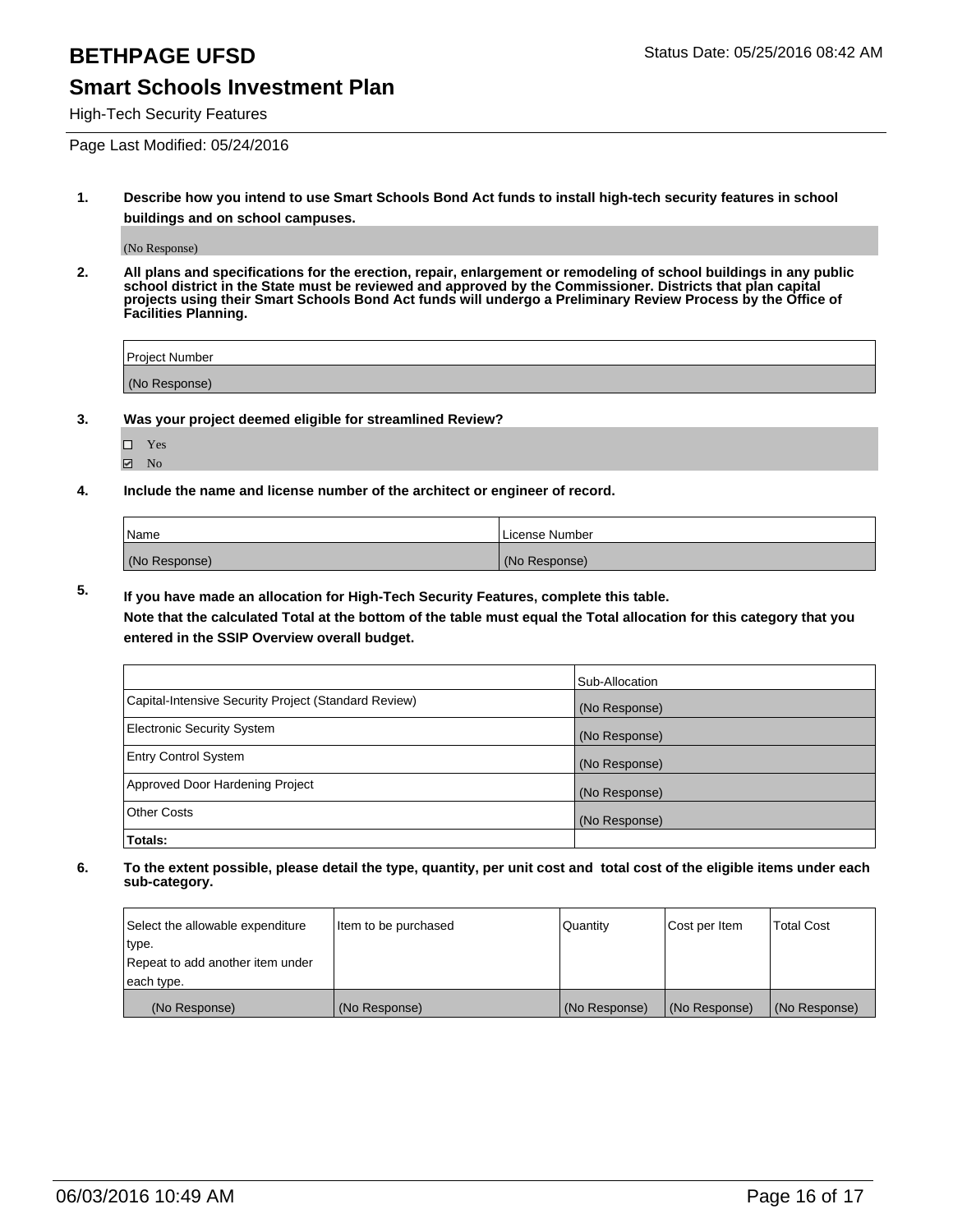High-Tech Security Features

Page Last Modified: 05/24/2016

**1. Describe how you intend to use Smart Schools Bond Act funds to install high-tech security features in school buildings and on school campuses.**

(No Response)

**2. All plans and specifications for the erection, repair, enlargement or remodeling of school buildings in any public school district in the State must be reviewed and approved by the Commissioner. Districts that plan capital projects using their Smart Schools Bond Act funds will undergo a Preliminary Review Process by the Office of Facilities Planning.** 

| Project Number |  |
|----------------|--|
| (No Response)  |  |

**3. Was your project deemed eligible for streamlined Review?**

□ Yes  $\blacksquare$  No

**4. Include the name and license number of the architect or engineer of record.**

| Name          | License Number |
|---------------|----------------|
| (No Response) | (No Response)  |

**5. If you have made an allocation for High-Tech Security Features, complete this table.**

**Note that the calculated Total at the bottom of the table must equal the Total allocation for this category that you entered in the SSIP Overview overall budget.**

|                                                      | Sub-Allocation |
|------------------------------------------------------|----------------|
| Capital-Intensive Security Project (Standard Review) | (No Response)  |
| <b>Electronic Security System</b>                    | (No Response)  |
| <b>Entry Control System</b>                          | (No Response)  |
| Approved Door Hardening Project                      | (No Response)  |
| <b>Other Costs</b>                                   | (No Response)  |
| Totals:                                              |                |

| Select the allowable expenditure | Item to be purchased | Quantity      | Cost per Item | <b>Total Cost</b> |
|----------------------------------|----------------------|---------------|---------------|-------------------|
| type.                            |                      |               |               |                   |
| Repeat to add another item under |                      |               |               |                   |
| each type.                       |                      |               |               |                   |
| (No Response)                    | (No Response)        | (No Response) | (No Response) | (No Response)     |